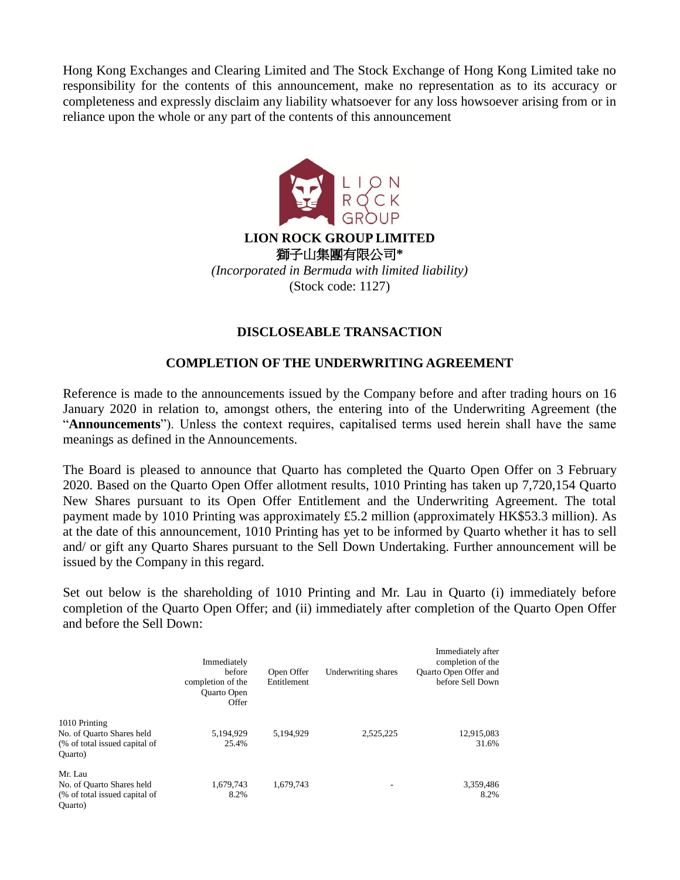Hong Kong Exchanges and Clearing Limited and The Stock Exchange of Hong Kong Limited take no responsibility for the contents of this announcement, make no representation as to its accuracy or completeness and expressly disclaim any liability whatsoever for any loss howsoever arising from or in reliance upon the whole or any part of the contents of this announcement



## **DISCLOSEABLE TRANSACTION**

## **COMPLETION OF THE UNDERWRITING AGREEMENT**

Reference is made to the announcements issued by the Company before and after trading hours on 16 January 2020 in relation to, amongst others, the entering into of the Underwriting Agreement (the "**Announcements**"). Unless the context requires, capitalised terms used herein shall have the same meanings as defined in the Announcements.

The Board is pleased to announce that Quarto has completed the Quarto Open Offer on 3 February 2020. Based on the Quarto Open Offer allotment results, 1010 Printing has taken up 7,720,154 Quarto New Shares pursuant to its Open Offer Entitlement and the Underwriting Agreement. The total payment made by 1010 Printing was approximately £5.2 million (approximately HK\$53.3 million). As at the date of this announcement, 1010 Printing has yet to be informed by Quarto whether it has to sell and/ or gift any Quarto Shares pursuant to the Sell Down Undertaking. Further announcement will be issued by the Company in this regard.

Set out below is the shareholding of 1010 Printing and Mr. Lau in Quarto (i) immediately before completion of the Quarto Open Offer; and (ii) immediately after completion of the Quarto Open Offer and before the Sell Down:

|                               | Immediately<br>hefore<br>completion of the<br><b>Ouarto Open</b><br>Offer | Open Offer<br>Entitlement | Underwriting shares | Immediately after<br>completion of the<br>Quarto Open Offer and<br>before Sell Down |
|-------------------------------|---------------------------------------------------------------------------|---------------------------|---------------------|-------------------------------------------------------------------------------------|
| 1010 Printing                 |                                                                           |                           |                     |                                                                                     |
| No. of Quarto Shares held     | 5,194,929                                                                 | 5.194.929                 | 2,525,225           | 12,915,083                                                                          |
| (% of total issued capital of | 25.4%                                                                     |                           |                     | 31.6%                                                                               |
| Quarto)                       |                                                                           |                           |                     |                                                                                     |
| Mr. Lau                       |                                                                           |                           |                     |                                                                                     |
| No. of Quarto Shares held     | 1,679,743                                                                 | 1,679,743                 |                     | 3,359,486                                                                           |
| (% of total issued capital of | 8.2%                                                                      |                           |                     | 8.2%                                                                                |
| Quarto)                       |                                                                           |                           |                     |                                                                                     |